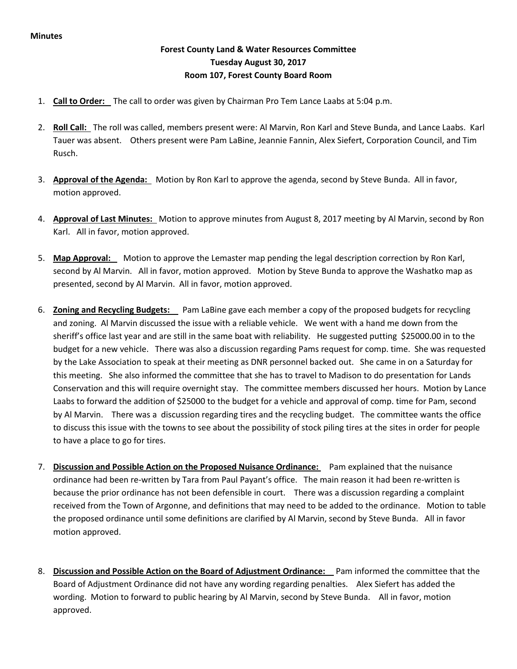## **Forest County Land & Water Resources Committee Tuesday August 30, 2017 Room 107, Forest County Board Room**

- 1. **Call to Order:** The call to order was given by Chairman Pro Tem Lance Laabs at 5:04 p.m.
- 2. **Roll Call:** The roll was called, members present were: Al Marvin, Ron Karl and Steve Bunda, and Lance Laabs. Karl Tauer was absent. Others present were Pam LaBine, Jeannie Fannin, Alex Siefert, Corporation Council, and Tim Rusch.
- 3. **Approval of the Agenda:** Motion by Ron Karl to approve the agenda, second by Steve Bunda. All in favor, motion approved.
- 4. **Approval of Last Minutes:** Motion to approve minutes from August 8, 2017 meeting by Al Marvin, second by Ron Karl. All in favor, motion approved.
- 5. **Map Approval:** Motion to approve the Lemaster map pending the legal description correction by Ron Karl, second by Al Marvin. All in favor, motion approved. Motion by Steve Bunda to approve the Washatko map as presented, second by Al Marvin. All in favor, motion approved.
- 6. **Zoning and Recycling Budgets:** Pam LaBine gave each member a copy of the proposed budgets for recycling and zoning. Al Marvin discussed the issue with a reliable vehicle. We went with a hand me down from the sheriff's office last year and are still in the same boat with reliability. He suggested putting \$25000.00 in to the budget for a new vehicle. There was also a discussion regarding Pams request for comp. time. She was requested by the Lake Association to speak at their meeting as DNR personnel backed out. She came in on a Saturday for this meeting. She also informed the committee that she has to travel to Madison to do presentation for Lands Conservation and this will require overnight stay. The committee members discussed her hours. Motion by Lance Laabs to forward the addition of \$25000 to the budget for a vehicle and approval of comp. time for Pam, second by Al Marvin. There was a discussion regarding tires and the recycling budget. The committee wants the office to discuss this issue with the towns to see about the possibility of stock piling tires at the sites in order for people to have a place to go for tires.
- 7. **Discussion and Possible Action on the Proposed Nuisance Ordinance:** Pam explained that the nuisance ordinance had been re-written by Tara from Paul Payant's office. The main reason it had been re-written is because the prior ordinance has not been defensible in court. There was a discussion regarding a complaint received from the Town of Argonne, and definitions that may need to be added to the ordinance. Motion to table the proposed ordinance until some definitions are clarified by Al Marvin, second by Steve Bunda. All in favor motion approved.
- 8. **Discussion and Possible Action on the Board of Adjustment Ordinance:** Pam informed the committee that the Board of Adjustment Ordinance did not have any wording regarding penalties. Alex Siefert has added the wording. Motion to forward to public hearing by Al Marvin, second by Steve Bunda. All in favor, motion approved.